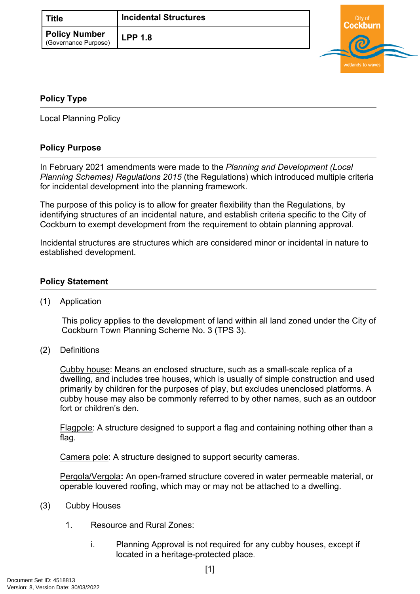| Title                                        | <b>Incidental Structures</b> |  |
|----------------------------------------------|------------------------------|--|
| <b>Policy Number</b><br>(Governance Purpose) | ' LPP 1.8                    |  |



## <span id="page-0-0"></span>**[Policy Type](#page-0-0)**

Local Planning Policy

## **Policy Purpose**

In February 2021 amendments were made to the *Planning and Development (Local Planning Schemes) Regulations 2015* (the Regulations) which introduced multiple criteria for incidental development into the planning framework.

The purpose of this policy is to allow for greater flexibility than the Regulations, by identifying structures of an incidental nature, and establish criteria specific to the City of Cockburn to exempt development from the requirement to obtain planning approval*.*

Incidental structures are structures which are considered minor or incidental in nature to established development.

## **[Policy Statement](#page-0-1)**

<span id="page-0-1"></span>(1) Application

This policy applies to the development of land within all land zoned under the City of Cockburn Town Planning Scheme No. 3 (TPS 3).

(2) Definitions

Cubby house: Means an enclosed structure, such as a small-scale replica of a dwelling, and includes tree houses, which is usually of simple construction and used primarily by children for the purposes of play, but excludes unenclosed platforms. A cubby house may also be commonly referred to by other names, such as an outdoor fort or children's den.

Flagpole: A structure designed to support a flag and containing nothing other than a flag.

Camera pole: A structure designed to support security cameras.

Pergola/Vergola**:** An open-framed structure covered in water permeable material, or operable louvered roofing, which may or may not be attached to a dwelling.

- (3) Cubby Houses
	- 1. Resource and Rural Zones:
		- i. Planning Approval is not required for any cubby houses, except if located in a heritage-protected place.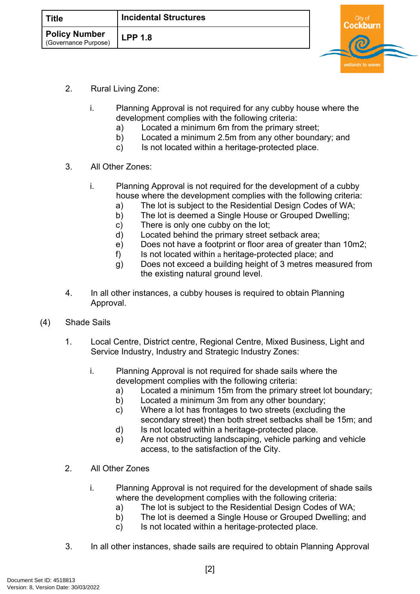| <b>Title</b>                                 | <b>Incidental Structures</b> |  |
|----------------------------------------------|------------------------------|--|
| <b>Policy Number</b><br>(Governance Purpose) | <b>LPP 1.8</b>               |  |

- 2. Rural Living Zone:
	- i. Planning Approval is not required for any cubby house where the development complies with the following criteria:
		- a) Located a minimum 6m from the primary street;
		- b) Located a minimum 2.5m from any other boundary; and
		- c) Is not located within a heritage-protected place.
- 3. All Other Zones:
	- i. Planning Approval is not required for the development of a cubby house where the development complies with the following criteria:
		- a) The lot is subject to the Residential Design Codes of WA;
		- b) The lot is deemed a Single House or Grouped Dwelling;
		- c) There is only one cubby on the lot;
		- d) Located behind the primary street setback area;
		- e) Does not have a footprint or floor area of greater than 10m2;
		- f) Is not located within a heritage-protected place; and
		- g) Does not exceed a building height of 3 metres measured from the existing natural ground level.
- 4. In all other instances, a cubby houses is required to obtain Planning Approval.
- (4) Shade Sails
	- 1. Local Centre, District centre, Regional Centre, Mixed Business, Light and Service Industry, Industry and Strategic Industry Zones:
		- i. Planning Approval is not required for shade sails where the development complies with the following criteria:
			- a) Located a minimum 15m from the primary street lot boundary;
			- b) Located a minimum 3m from any other boundary;
			- c) Where a lot has frontages to two streets (excluding the secondary street) then both street setbacks shall be 15m; and
			- d) Is not located within a heritage-protected place.
			- e) Are not obstructing landscaping, vehicle parking and vehicle access, to the satisfaction of the City.
	- 2. All Other Zones
		- i. Planning Approval is not required for the development of shade sails where the development complies with the following criteria:
			- a) The lot is subject to the Residential Design Codes of WA;
			- b) The lot is deemed a Single House or Grouped Dwelling; and
			- c) Is not located within a heritage-protected place.
	- 3. In all other instances, shade sails are required to obtain Planning Approval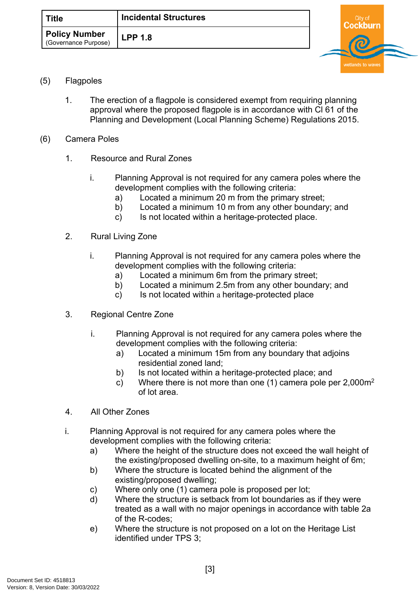

- <span id="page-2-0"></span>(5) Flagpoles
	- 1. The erection of a flagpole is considered exempt from requiring planning approval where the proposed flagpole is in accordance with Cl 61 of the Planning and Development (Local Planning Scheme) Regulations 2015.
- (6) Camera Poles
	- 1. Resource and Rural Zones
		- i. Planning Approval is not required for any camera poles where the development complies with the following criteria:
			- a) Located a minimum 20 m from the primary street;
			- b) Located a minimum 10 m from any other boundary; and
			- c) Is not located within a heritage-protected place.
	- 2. Rural Living Zone
		- i. Planning Approval is not required for any camera poles where the development complies with the following criteria:
			- a) Located a minimum 6m from the primary street;
			- b) Located a minimum 2.5m from any other boundary; and
			- c) Is not located within a heritage-protected place
	- 3. Regional Centre Zone
		- i. Planning Approval is not required for any camera poles where the development complies with the following criteria:
			- a) Located a minimum 15m from any boundary that adjoins residential zoned land;
			- b) Is not located within a heritage-protected place; and
			- c) Where there is not more than one  $(1)$  camera pole per 2,000 $m<sup>2</sup>$ of lot area.
	- 4. All Other Zones
	- i. Planning Approval is not required for any camera poles where the development complies with the following criteria:
		- a) Where the height of the structure does not exceed the wall height of the existing/proposed dwelling on-site, to a maximum height of 6m;
		- b) Where the structure is located behind the alignment of the existing/proposed dwelling;
		- c) Where only one (1) camera pole is proposed per lot;
		- d) Where the structure is setback from lot boundaries as if they were treated as a wall with no major openings in accordance with table 2a of the R-codes;
		- e) Where the structure is not proposed on a lot on the Heritage List identified under TPS 3;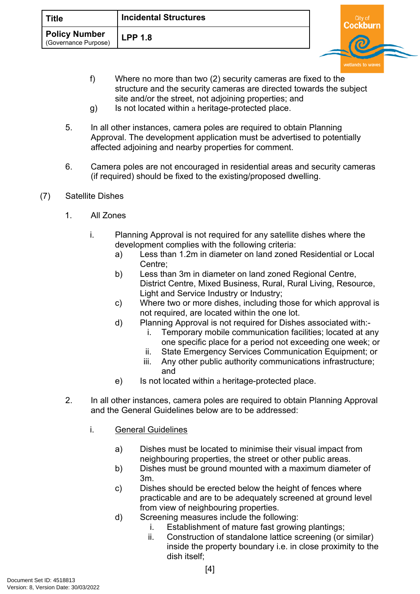f) Where no more than two (2) security cameras are fixed to the structure and the security cameras are directed towards the subject site and/or the street, not adjoining properties; and

wetlands to wa

- g) Is not located within a heritage-protected place.
- 5. In all other instances, camera poles are required to obtain Planning Approval. The development application must be advertised to potentially affected adjoining and nearby properties for comment.
- 6. Camera poles are not encouraged in residential areas and security cameras (if required) should be fixed to the existing/proposed dwelling.
- (7) Satellite Dishes
	- 1. All Zones
		- i. Planning Approval is not required for any satellite dishes where the development complies with the following criteria:
			- a) Less than 1.2m in diameter on land zoned Residential or Local Centre;
			- b) Less than 3m in diameter on land zoned Regional Centre, District Centre, Mixed Business, Rural, Rural Living, Resource, Light and Service Industry or Industry;
			- c) Where two or more dishes, including those for which approval is not required, are located within the one lot.
			- d) Planning Approval is not required for Dishes associated with:
				- i. Temporary mobile communication facilities; located at any one specific place for a period not exceeding one week; or
				- ii. State Emergency Services Communication Equipment; or
				- iii. Any other public authority communications infrastructure; and
			- e) Is not located within a heritage-protected place.
	- 2. In all other instances, camera poles are required to obtain Planning Approval and the General Guidelines below are to be addressed:
		- i. General Guidelines
			- a) Dishes must be located to minimise their visual impact from neighbouring properties, the street or other public areas.
			- b) Dishes must be ground mounted with a maximum diameter of 3m.
			- c) Dishes should be erected below the height of fences where practicable and are to be adequately screened at ground level from view of neighbouring properties.
			- d) Screening measures include the following:
				- i. Establishment of mature fast growing plantings;
				- ii. Construction of standalone lattice screening (or similar) inside the property boundary i.e. in close proximity to the dish itself;